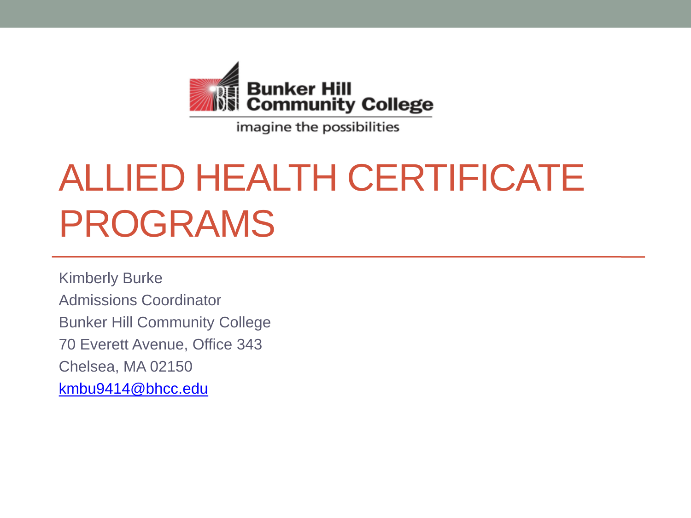

imagine the possibilities

### ALLIED HEALTH CERTIFICATE PROGRAMS

Kimberly Burke Admissions Coordinator Bunker Hill Community College 70 Everett Avenue, Office 343 Chelsea, MA 02150 [kmbu9414@bhcc.edu](mailto:kmbu9414@bhcc.edu)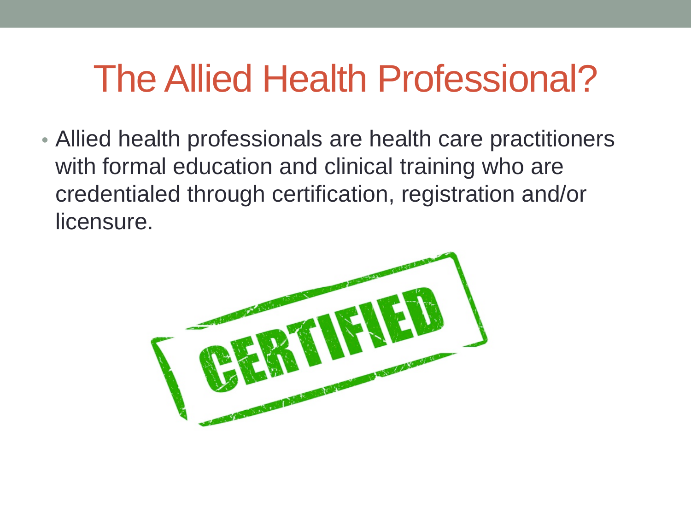#### The Allied Health Professional?

• Allied health professionals are health care practitioners with formal education and clinical training who are credentialed through certification, registration and/or licensure.

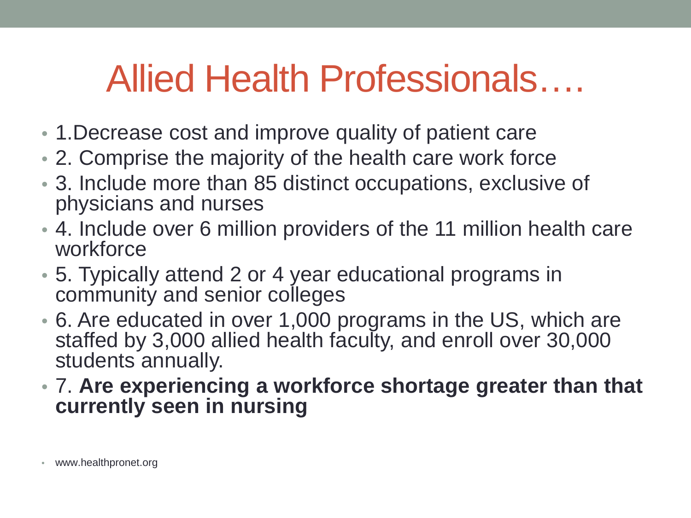#### Allied Health Professionals….

- 1.Decrease cost and improve quality of patient care
- 2. Comprise the majority of the health care work force
- 3. Include more than 85 distinct occupations, exclusive of physicians and nurses
- 4. Include over 6 million providers of the 11 million health care workforce
- 5. Typically attend 2 or 4 year educational programs in community and senior colleges
- 6. Are educated in over 1,000 programs in the US, which are staffed by 3,000 allied health faculty, and enroll over 30,000 students annually.
- 7. **Are experiencing a workforce shortage greater than that currently seen in nursing**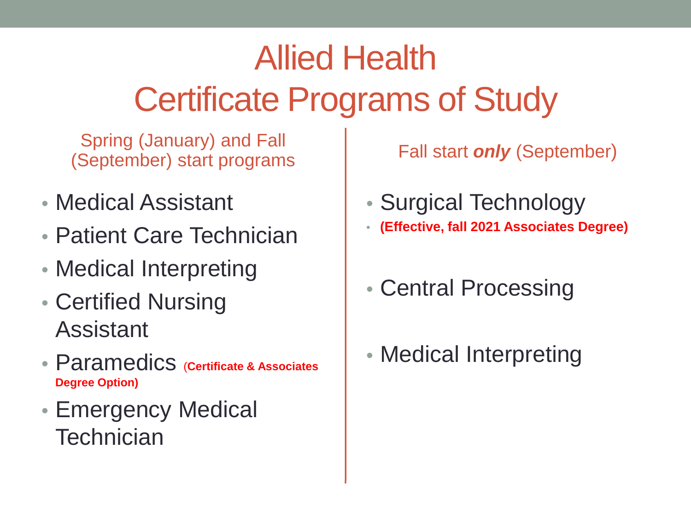#### Allied Health Certificate Programs of Study

Spring (January) and Fall (September) start programs

- Medical Assistant
- Patient Care Technician
- Medical Interpreting
- Certified Nursing Assistant
- Paramedics (**Certificate & Associates Degree Option)**
- Emergency Medical **Technician**

Fall start *only* (September)

- Surgical Technology
- **(Effective, fall 2021 Associates Degree)**
- Central Processing
- Medical Interpreting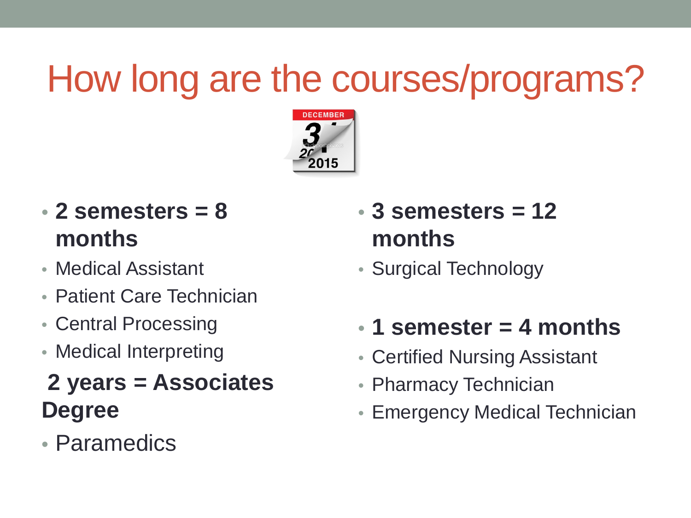### How long are the courses/programs?



- **2 semesters = 8 months**
- Medical Assistant
- Patient Care Technician
- Central Processing
- Medical Interpreting

#### **2 years = Associates Degree**

• Paramedics

- **3 semesters = 12 months**
- Surgical Technology
- **1 semester = 4 months**
- Certified Nursing Assistant
- Pharmacy Technician
- Emergency Medical Technician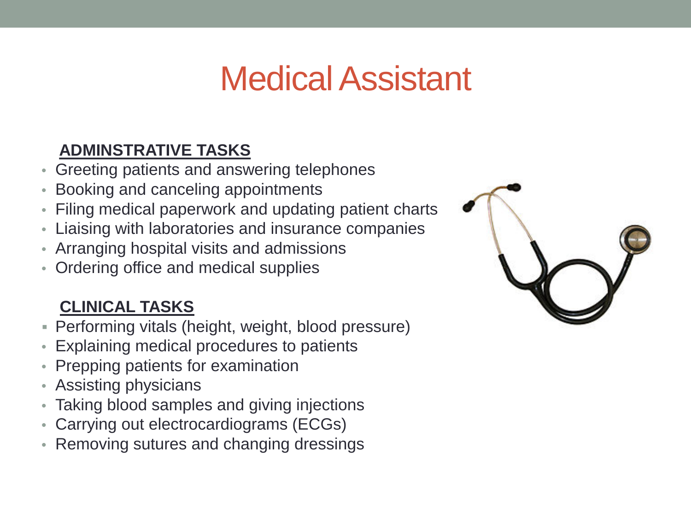#### Medical Assistant

#### **ADMINSTRATIVE TASKS**

- Greeting patients and answering telephones
- Booking and canceling appointments
- Filing medical paperwork and updating patient charts
- Liaising with laboratories and insurance companies
- Arranging hospital visits and admissions
- Ordering office and medical supplies

#### **CLINICAL TASKS**

- Performing vitals (height, weight, blood pressure)
- Explaining medical procedures to patients
- Prepping patients for examination
- Assisting physicians
- Taking blood samples and giving injections
- Carrying out electrocardiograms (ECGs)
- Removing sutures and changing dressings

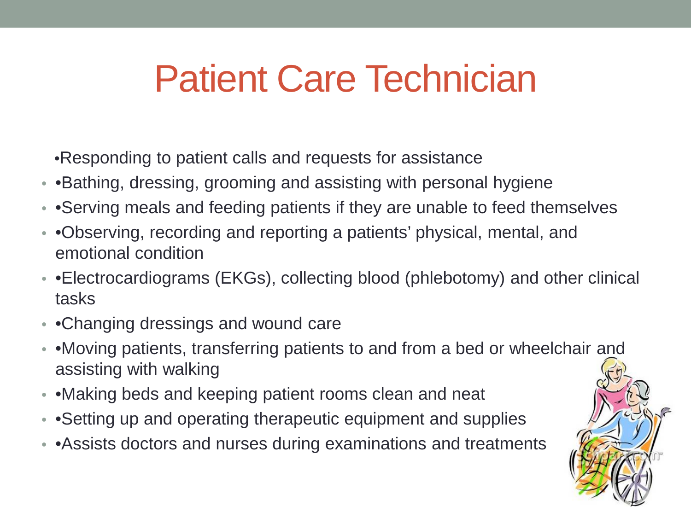#### Patient Care Technician

•Responding to patient calls and requests for assistance

- •Bathing, dressing, grooming and assisting with personal hygiene
- • Serving meals and feeding patients if they are unable to feed themselves
- •Observing, recording and reporting a patients' physical, mental, and emotional condition
- •Electrocardiograms (EKGs), collecting blood (phlebotomy) and other clinical tasks
- •Changing dressings and wound care
- •Moving patients, transferring patients to and from a bed or wheelchair and assisting with walking
- •Making beds and keeping patient rooms clean and neat
- • Setting up and operating therapeutic equipment and supplies
- Assists doctors and nurses during examinations and treatments

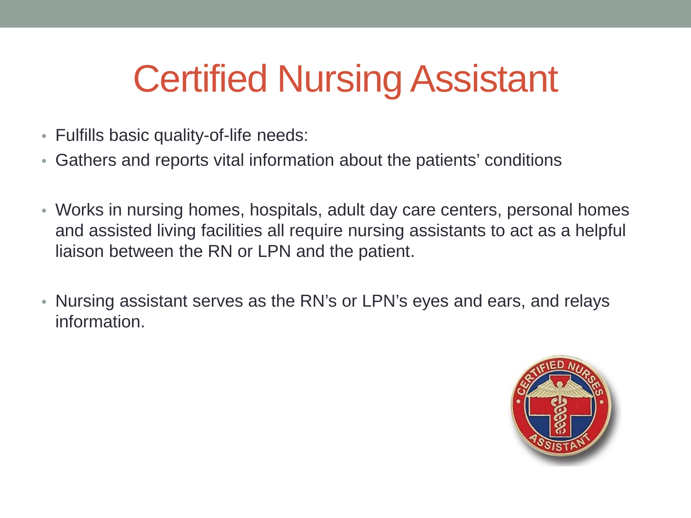### Certified Nursing Assistant

- Fulfills basic quality-of-life needs:
- Gathers and reports vital information about the patients' conditions
- Works in nursing homes, hospitals, adult day care centers, personal homes and assisted living facilities all require nursing assistants to act as a helpful liaison between the RN or LPN and the patient.
- Nursing assistant serves as the RN's or LPN's eyes and ears, and relays information.

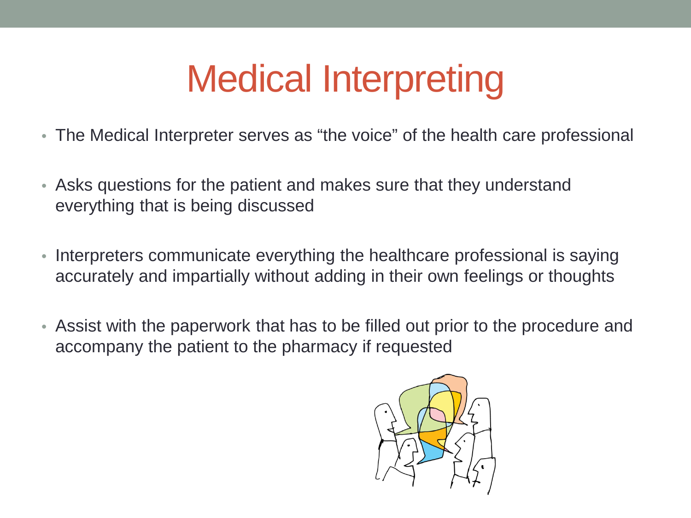### Medical Interpreting

- The Medical Interpreter serves as "the voice" of the health care professional
- Asks questions for the patient and makes sure that they understand everything that is being discussed
- Interpreters communicate everything the healthcare professional is saying accurately and impartially without adding in their own feelings or thoughts
- Assist with the paperwork that has to be filled out prior to the procedure and accompany the patient to the pharmacy if requested

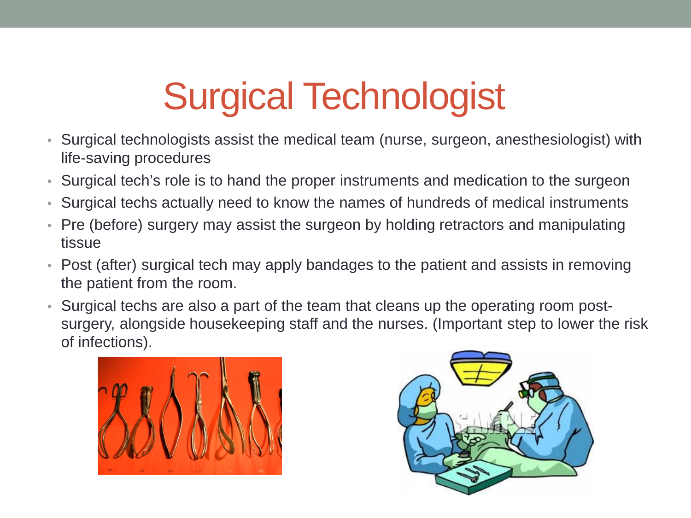# **Surgical Technologist**<br>• Surgical technologists assist the medical team (nurse, surgeon, anesthesiologist) with

- life-saving procedures
- Surgical tech's role is to hand the proper instruments and medication to the surgeon
- Surgical techs actually need to know the names of hundreds of medical instruments
- Pre (before) surgery may assist the surgeon by holding retractors and manipulating tissue
- Post (after) surgical tech may apply bandages to the patient and assists in removing the patient from the room.
- Surgical techs are also a part of the team that cleans up the operating room postsurgery, alongside housekeeping staff and the nurses. (Important step to lower the risk of infections).



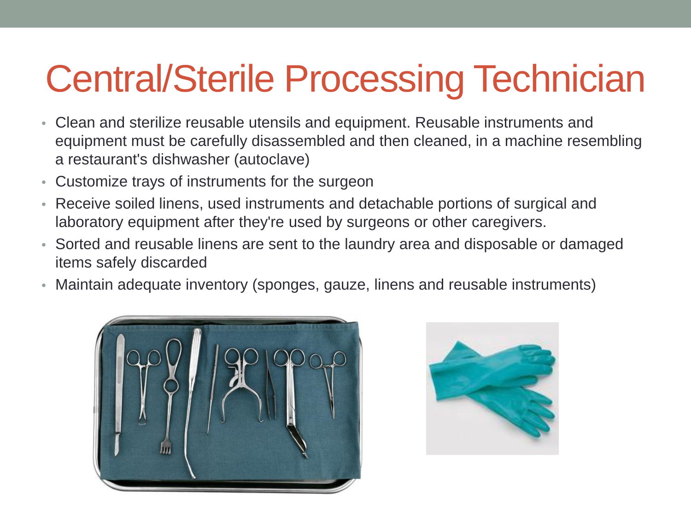## Central/Sterile Processing Technician

- Clean and sterilize reusable utensils and equipment. Reusable instruments and equipment must be carefully disassembled and then cleaned, in a machine resembling a restaurant's dishwasher (autoclave)
- Customize trays of instruments for the surgeon
- Receive soiled linens, used instruments and detachable portions of surgical and laboratory equipment after they're used by surgeons or other caregivers.
- Sorted and reusable linens are sent to the laundry area and disposable or damaged items safely discarded
- Maintain adequate inventory (sponges, gauze, linens and reusable instruments)



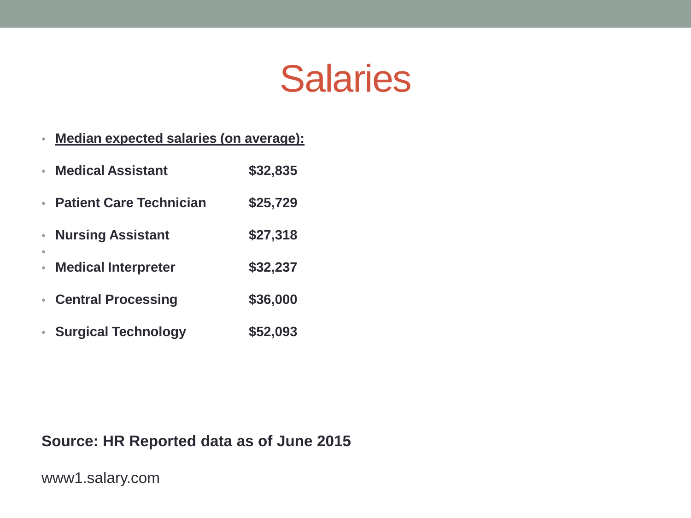

#### • **Median expected salaries (on average):**

| <b>Medical Assistant</b>       | \$32,835 |
|--------------------------------|----------|
| <b>Patient Care Technician</b> | \$25,729 |
| <b>Nursing Assistant</b>       | \$27,318 |
| <b>Medical Interpreter</b>     | \$32,237 |
| <b>Central Processing</b>      | \$36,000 |
| <b>Surgical Technology</b>     | \$52,093 |

#### **Source: HR Reported data as of June 2015**

www1.salary.com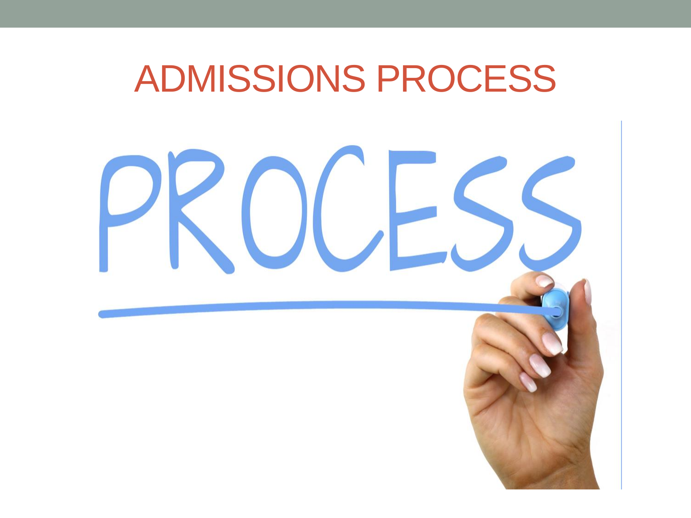#### ADMISSIONS PROCESS